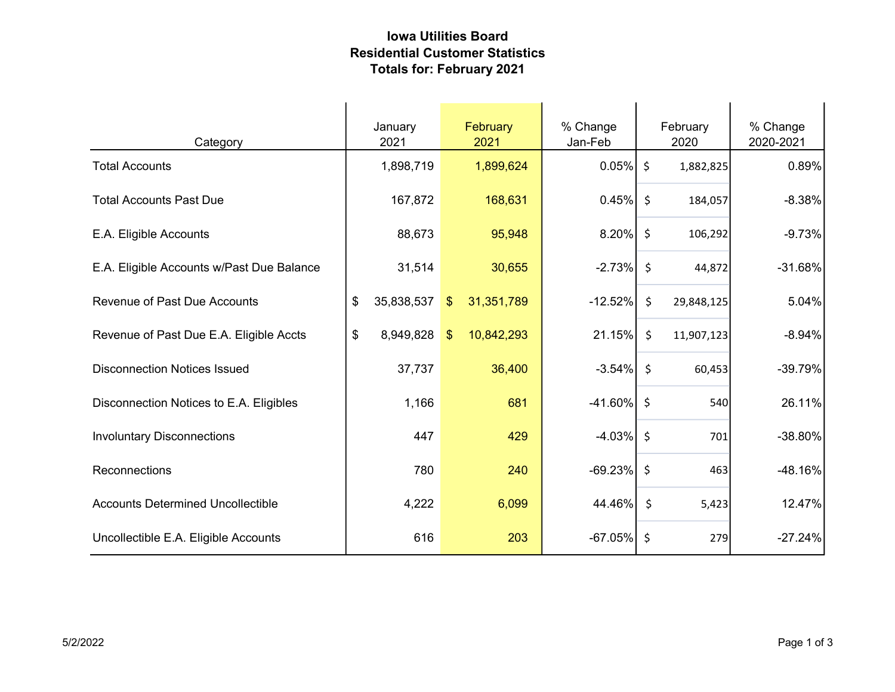## Iowa Utilities Board Residential Customer Statistics Totals for: February 2021

| Category                                  | January<br>2021              | February<br>2021                      | % Change<br>Jan-Feb | February<br>2020              | % Change<br>2020-2021 |  |
|-------------------------------------------|------------------------------|---------------------------------------|---------------------|-------------------------------|-----------------------|--|
| <b>Total Accounts</b>                     | 1,898,719                    | 1,899,624                             | $0.05\%$ \$         | 1,882,825                     | 0.89%                 |  |
| <b>Total Accounts Past Due</b>            | 167,872                      | 168,631                               | $0.45\%$ \$         | 184,057                       | $-8.38%$              |  |
| E.A. Eligible Accounts                    | 88,673                       | 95,948                                | $8.20\%$            | $\zeta$<br>106,292            | $-9.73%$              |  |
| E.A. Eligible Accounts w/Past Due Balance | 31,514                       | 30,655                                | $-2.73%$            | $\ddot{\mathsf{S}}$<br>44,872 | $-31.68%$             |  |
| <b>Revenue of Past Due Accounts</b>       | $\mathfrak{S}$<br>35,838,537 | 31,351,789<br>$\sqrt[6]{\frac{1}{2}}$ | $-12.52%$           | \$<br>29,848,125              | 5.04%                 |  |
| Revenue of Past Due E.A. Eligible Accts   | \$<br>8,949,828              | 10,842,293<br>$\sqrt[6]{2}$           | 21.15%              | $\zeta$<br>11,907,123         | $-8.94%$              |  |
| <b>Disconnection Notices Issued</b>       | 37,737                       | 36,400                                | $-3.54%$            | \$<br>60,453                  | $-39.79%$             |  |
| Disconnection Notices to E.A. Eligibles   | 1,166                        | 681                                   | $-41.60\%$ \$       | 540                           | 26.11%                |  |
| <b>Involuntary Disconnections</b>         | 447                          | 429                                   | $-4.03\%$ \$        | 701                           | -38.80%               |  |
| Reconnections                             | 780                          | 240                                   | $-69.23%$           | -\$<br>463                    | -48.16%               |  |
| <b>Accounts Determined Uncollectible</b>  | 4,222                        | 6,099                                 | 44.46%              | $\zeta$<br>5,423              | 12.47%                |  |
| Uncollectible E.A. Eligible Accounts      | 616                          | 203                                   | $-67.05%$           | $\ddot{\varsigma}$<br>279     | $-27.24%$             |  |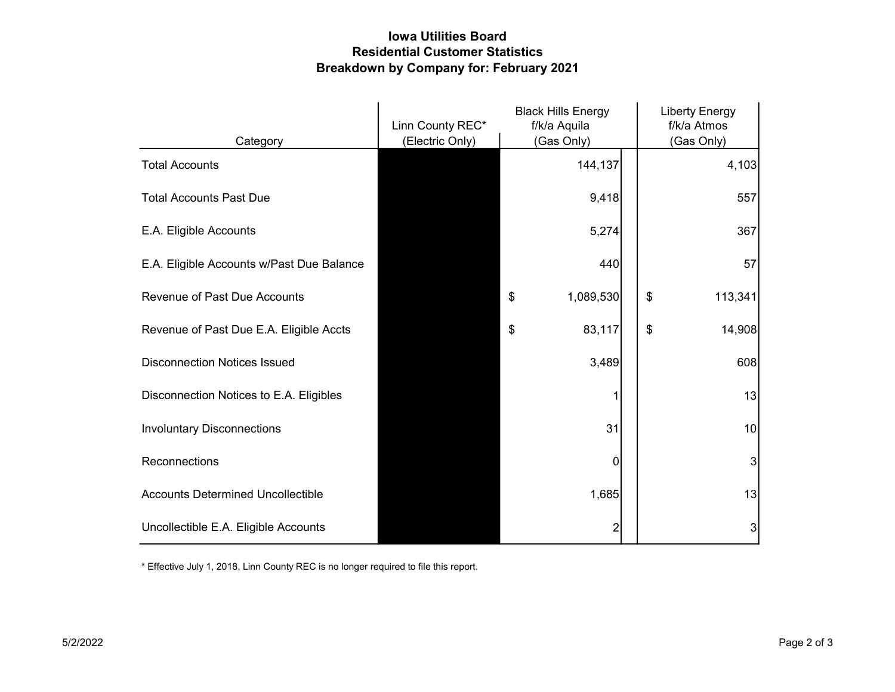## Iowa Utilities Board Residential Customer Statistics Breakdown by Company for: February 2021

|                                           | Linn County REC* | <b>Black Hills Energy</b><br>f/k/a Aquila |  | <b>Liberty Energy</b><br>f/k/a Atmos |  |
|-------------------------------------------|------------------|-------------------------------------------|--|--------------------------------------|--|
| Category                                  | (Electric Only)  | (Gas Only)                                |  | (Gas Only)                           |  |
| <b>Total Accounts</b>                     |                  | 144,137                                   |  | 4,103                                |  |
| <b>Total Accounts Past Due</b>            |                  | 9,418                                     |  | 557                                  |  |
| E.A. Eligible Accounts                    |                  | 5,274                                     |  | 367                                  |  |
| E.A. Eligible Accounts w/Past Due Balance |                  | 440                                       |  | 57                                   |  |
| <b>Revenue of Past Due Accounts</b>       |                  | \$<br>1,089,530                           |  | \$<br>113,341                        |  |
| Revenue of Past Due E.A. Eligible Accts   |                  | \$<br>83,117                              |  | \$<br>14,908                         |  |
| <b>Disconnection Notices Issued</b>       |                  | 3,489                                     |  | 608                                  |  |
| Disconnection Notices to E.A. Eligibles   |                  |                                           |  | 13                                   |  |
| <b>Involuntary Disconnections</b>         |                  | 31                                        |  | 10                                   |  |
| Reconnections                             |                  | 0                                         |  | 3                                    |  |
| <b>Accounts Determined Uncollectible</b>  |                  | 1,685                                     |  | 13                                   |  |
| Uncollectible E.A. Eligible Accounts      |                  | 2                                         |  | 3                                    |  |

\* Effective July 1, 2018, Linn County REC is no longer required to file this report.